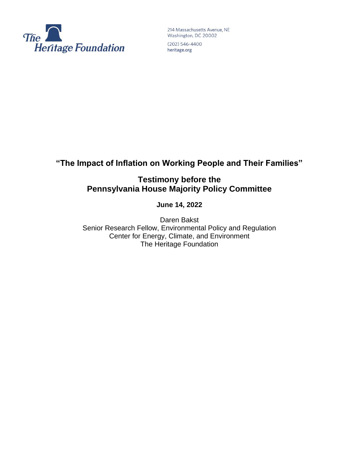

214 Massachusetts Avenue, NE Washington, DC 20002

 $(202) 546 - 4400$ heritage.org

# **"The Impact of Inflation on Working People and Their Families"**

**Testimony before the Pennsylvania House Majority Policy Committee**

**June 14, 2022**

Daren Bakst Senior Research Fellow, Environmental Policy and Regulation Center for Energy, Climate, and Environment The Heritage Foundation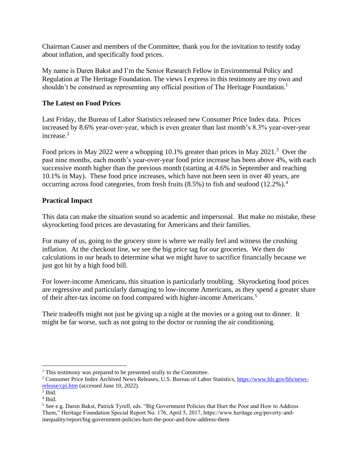Chairman Causer and members of the Committee, thank you for the invitation to testify today about inflation, and specifically food prices.

My name is Daren Bakst and I'm the Senior Research Fellow in Environmental Policy and Regulation at The Heritage Foundation. The views I express in this testimony are my own and shouldn't be construed as representing any official position of The Heritage Foundation.<sup>1</sup>

# **The Latest on Food Prices**

Last Friday, the Bureau of Labor Statistics released new Consumer Price Index data. Prices increased by 8.6% year-over-year, which is even greater than last month's 8.3% year-over-year increase.<sup>2</sup>

Food prices in May 2022 were a whopping 10.1% greater than prices in May 2021.<sup>3</sup> Over the past nine months, each month's year-over-year food price increase has been above 4%, with each successive month higher than the previous month (starting at 4.6% in September and reaching 10.1% in May). These food price increases, which have not been seen in over 40 years, are occurring across food categories, from fresh fruits (8.5%) to fish and seafood (12.2%).<sup>4</sup>

# **Practical Impact**

This data can make the situation sound so academic and impersonal. But make no mistake, these skyrocketing food prices are devastating for Americans and their families.

For many of us, going to the grocery store is where we really feel and witness the crushing inflation. At the checkout line, we see the big price tag for our groceries. We then do calculations in our heads to determine what we might have to sacrifice financially because we just got hit by a high food bill.

For lower-income Americans, this situation is particularly troubling. Skyrocketing food prices are regressive and particularly damaging to low-income Americans, as they spend a greater share of their after-tax income on food compared with higher-income Americans.<sup>5</sup>

Their tradeoffs might not just be giving up a night at the movies or a going out to dinner. It might be far worse, such as not going to the doctor or running the air conditioning.

 $<sup>1</sup>$  This testimony was prepared to be presented orally to the Committee.</sup>

<sup>2</sup> Consumer Price Index Archived News Releases, U.S. Bureau of Labor Statistics, [https://www.bls.gov/bls/news](https://www.bls.gov/bls/news-release/cpi.htm)[release/cpi.htm](https://www.bls.gov/bls/news-release/cpi.htm) (accessed June 10, 2022).

<sup>3</sup> Ibid.

<sup>4</sup> Ibid.

<sup>5</sup> See e.g. Daren Bakst, Patrick Tyrell, eds. "Big Government Policies that Hurt the Poor and How to Address Them," Heritage Foundation Special Report No. 176, April 5, 2017, https://www.heritage.org/poverty-andinequality/report/big-government-policies-hurt-the-poor-and-how-address-them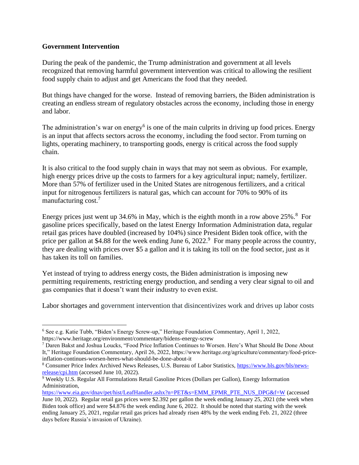# **Government Intervention**

During the peak of the pandemic, the Trump administration and government at all levels recognized that removing harmful government intervention was critical to allowing the resilient food supply chain to adjust and get Americans the food that they needed.

But things have changed for the worse. Instead of removing barriers, the Biden administration is creating an endless stream of regulatory obstacles across the economy, including those in energy and labor.

The administration's war on energy<sup>6</sup> is one of the main culprits in driving up food prices. Energy is an input that affects sectors across the economy, including the food sector. From turning on lights, operating machinery, to transporting goods, energy is critical across the food supply chain.

It is also critical to the food supply chain in ways that may not seem as obvious. For example, high energy prices drive up the costs to farmers for a key agricultural input; namely, fertilizer. More than 57% of fertilizer used in the United States are nitrogenous fertilizers, and a critical input for nitrogenous fertilizers is natural gas, which can account for 70% to 90% of its manufacturing cost.<sup>7</sup>

Energy prices just went up 34.6% in May, which is the eighth month in a row above  $25\%$ .<sup>8</sup> For gasoline prices specifically, based on the latest Energy Information Administration data, regular retail gas prices have doubled (increased by 104%) since President Biden took office, with the price per gallon at \$4.88 for the week ending June 6, 2022.<sup>9</sup> For many people across the country, they are dealing with prices over \$5 a gallon and it is taking its toll on the food sector, just as it has taken its toll on families.

Yet instead of trying to address energy costs, the Biden administration is imposing new permitting requirements, restricting energy production, and sending a very clear signal to oil and gas companies that it doesn't want their industry to even exist.

Labor shortages and government intervention that disincentivizes work and drives up labor costs

<sup>6</sup> See e.g. Katie Tubb, "Biden's Energy Screw-up," Heritage Foundation Commentary, April 1, 2022, https://www.heritage.org/environment/commentary/bidens-energy-screw

<sup>7</sup> Daren Bakst and Joshua Loucks, "Food Price Inflation Continues to Worsen. Here's What Should Be Done About It," Heritage Foundation Commentary, April 26, 2022, https://www.heritage.org/agriculture/commentary/food-priceinflation-continues-worsen-heres-what-should-be-done-about-it

<sup>8</sup> Consumer Price Index Archived News Releases, U.S. Bureau of Labor Statistics, [https://www.bls.gov/bls/news](https://www.bls.gov/bls/news-release/cpi.htm)[release/cpi.htm](https://www.bls.gov/bls/news-release/cpi.htm) (accessed June 10, 2022).

<sup>9</sup> Weekly U.S. Regular All Formulations Retail Gasoline Prices (Dollars per Gallon), Energy Information Administration,

[https://www.eia.gov/dnav/pet/hist/LeafHandler.ashx?n=PET&s=EMM\\_EPMR\\_PTE\\_NUS\\_DPG&f=W](https://www.eia.gov/dnav/pet/hist/LeafHandler.ashx?n=PET&s=EMM_EPMR_PTE_NUS_DPG&f=W) (accessed June 10, 2022). Regular retail gas prices were \$2.392 per gallon the week ending January 25, 2021 (the week when Biden took office) and were \$4.876 the week ending June 6, 2022. It should be noted that starting with the week ending January 25, 2021, regular retail gas prices had already risen 48% by the week ending Feb. 21, 2022 (three days before Russia's invasion of Ukraine).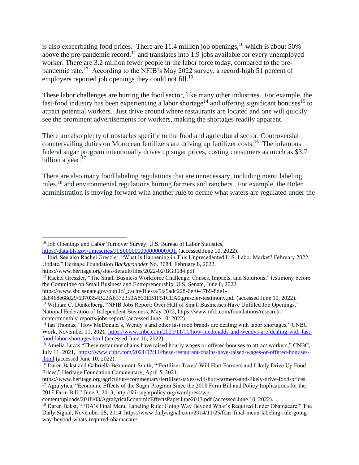is also exacerbating food prices. There are 11.4 million job openings,<sup>10</sup> which is about 50% above the pre-pandemic record,<sup>11</sup> and translates into 1.9 jobs available for every unemployed worker. There are 3.2 million fewer people in the labor force today, compared to the prepandemic rate.<sup>12</sup> According to the NFIB's May 2022 survey, a record-high 51 percent of employers reported job openings they could not fill.<sup>13</sup>

These labor challenges are hurting the food sector, like many other industries. For example, the fast-food industry has been experiencing a labor shortage<sup>14</sup> and offering significant bonuses<sup>15</sup> to attract potential workers. Just drive around where restaurants are located and one will quickly see the prominent advertisements for workers, making the shortages readily apparent.

There are also plenty of obstacles specific to the food and agricultural sector. Controversial countervailing duties on Moroccan fertilizers are driving up fertilizer costs.<sup>16</sup> The infamous federal sugar program intentionally drives up sugar prices, costing consumers as much as \$3.7 billion a year.<sup>17</sup>

There are also many food labeling regulations that are unnecessary, including menu labeling rules,<sup>18</sup> and environmental regulations hurting farmers and ranchers. For example, the Biden administration is moving forward with another rule to define what waters are regulated under the

https://www.sbc.senate.gov/public/\_cache/files/a/5/a5a8c228-6ef0-47b9-8de1-

<sup>&</sup>lt;sup>10</sup> Job Openings and Labor Turnover Survey, U.S. Bureau of Labor Statistics, <https://data.bls.gov/timeseries/JTS000000000000000JOL> (accessed June 10, 2022).

<sup>&</sup>lt;sup>11</sup> Ibid. See also Rachel Greszler, "What Is Happening in This Unprecedented U.S. Labor Market? February 2022 Update," Heritage Foundation *Backgrounder* No. 3684, February 8, 2022,

https://www.heritage.org/sites/default/files/2022-02/BG3684.pdf

<sup>&</sup>lt;sup>12</sup> Rachel Greszler, "The Small Business Workforce Challenge: Causes, Impacts, and Solutions," testimony before the Committee on Small Business and Entrepreneurship, U.S. Senate, June 8, 2022,

<sup>3</sup>a8468e68d29/6370354B22A6372350A860EB1F51CEA0.greszler-testimony.pdf (accessed June 10, 2022). <sup>13</sup> William C. Dunkelberg, "NFIB Jobs Report: Over Half of Small Businesses Have Unfilled Job Openings," National Federation of Independent Business, May 2022, https://www.nfib.com/foundations/researchcenter/monthly-reports/jobs-report/ (accessed June 10, 2022).

<sup>&</sup>lt;sup>14</sup> Ian Thomas, "How McDonald's, Wendy's and other fast food brands are dealing with labor shortages," CNBC Work, November 11, 2021, [https://www.cnbc.com/2021/11/11/how-mcdonalds-and-wendys-are-dealing-with-fast](https://www.cnbc.com/2021/11/11/how-mcdonalds-and-wendys-are-dealing-with-fast-food-labor-shortages.html)[food-labor-shortages.html](https://www.cnbc.com/2021/11/11/how-mcdonalds-and-wendys-are-dealing-with-fast-food-labor-shortages.html) (accessed June 10, 2022).

<sup>15</sup> Amelia Lucas "These restaurant chains have raised hourly wages or offered bonuses to attract workers," CNBC, July 11, 2021, [https://www.cnbc.com/2021/07/11/these-restaurant-chains-have-raised-wages-or-offered-bonuses-](https://www.cnbc.com/2021/07/11/these-restaurant-chains-have-raised-wages-or-offered-bonuses-.html) [.html](https://www.cnbc.com/2021/07/11/these-restaurant-chains-have-raised-wages-or-offered-bonuses-.html) (accessed June 10, 2022).

<sup>&</sup>lt;sup>16</sup> Daren Bakst and Gabriella Beaumont-Smith, "'Fertilizer Taxes' Will Hurt Farmers and Likely Drive Up Food Prices," Heritage Foundation Commentary, April 5, 2021,

https://www.heritage.org/agriculture/commentary/fertilizer-taxes-will-hurt-farmers-and-likely-drive-food-prices. <sup>17</sup> Agralytica, "Economic Effects of the Sugar Program Since the 2008 Farm Bill and Policy Implications for the 2013 Farm Bill," June 3, 2013, http://fairsugarpolicy.org/wordpress/wp-

content/uploads/2018/03/AgralyticaEconomicEffectsPaperJune2013.pdf (accessed June 10, 2022).

<sup>&</sup>lt;sup>18</sup> Daren Bakst, "FDA's Final Menu Labeling Rule: Going Way Beyond What's Required Under Obamacare," The Daily Signal, November 25, 2014, https://www.dailysignal.com/2014/11/25/fdas-final-menu-labeling-rule-goingway-beyond-whats-required-obamacare/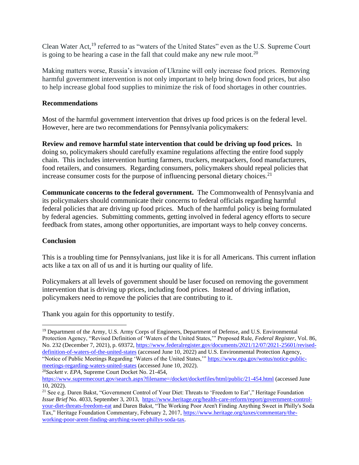Clean Water Act,<sup>19</sup> referred to as "waters of the United States" even as the U.S. Supreme Court is going to be hearing a case in the fall that could make any new rule moot.<sup>20</sup>

Making matters worse, Russia's invasion of Ukraine will only increase food prices. Removing harmful government intervention is not only important to help bring down food prices, but also to help increase global food supplies to minimize the risk of food shortages in other countries.

### **Recommendations**

Most of the harmful government intervention that drives up food prices is on the federal level. However, here are two recommendations for Pennsylvania policymakers:

**Review and remove harmful state intervention that could be driving up food prices.** In doing so, policymakers should carefully examine regulations affecting the entire food supply chain. This includes intervention hurting farmers, truckers, meatpackers, food manufacturers, food retailers, and consumers. Regarding consumers, policymakers should repeal policies that increase consumer costs for the purpose of influencing personal dietary choices.<sup>21</sup>

**Communicate concerns to the federal government.** The Commonwealth of Pennsylvania and its policymakers should communicate their concerns to federal officials regarding harmful federal policies that are driving up food prices. Much of the harmful policy is being formulated by federal agencies. Submitting comments, getting involved in federal agency efforts to secure feedback from states, among other opportunities, are important ways to help convey concerns.

### **Conclusion**

This is a troubling time for Pennsylvanians, just like it is for all Americans. This current inflation acts like a tax on all of us and it is hurting our quality of life.

Policymakers at all levels of government should be laser focused on removing the government intervention that is driving up prices, including food prices. Instead of driving inflation, policymakers need to remove the policies that are contributing to it.

Thank you again for this opportunity to testify.

<sup>&</sup>lt;sup>19</sup> Department of the Army, U.S. Army Corps of Engineers, Department of Defense, and U.S. Environmental Protection Agency, "Revised Definition of 'Waters of the United States,'" Proposed Rule, *Federal Register*, Vol. 86, No. 232 (December 7, 2021), p. 69372, [https://www.federalregister.gov/documents/2021/12/07/2021-25601/revised](https://www.federalregister.gov/documents/2021/12/07/2021-25601/revised-definition-of-waters-of-the-united-states)[definition-of-waters-of-the-united-states](https://www.federalregister.gov/documents/2021/12/07/2021-25601/revised-definition-of-waters-of-the-united-states) (accessed June 10, 2022) and U.S. Environmental Protection Agency, "Notice of Public Meetings Regarding 'Waters of the United States," [https://www.epa.gov/wotus/notice-public](https://www.epa.gov/wotus/notice-public-meetings-regarding-waters-united-states)[meetings-regarding-waters-united-states](https://www.epa.gov/wotus/notice-public-meetings-regarding-waters-united-states) (accessed June 10, 2022).

<sup>20</sup>*Sackett v. EPA*, Supreme Court Docket No. 21-454,

<https://www.supremecourt.gov/search.aspx?filename=/docket/docketfiles/html/public/21-454.html> (accessed June 10, 2022).

<sup>&</sup>lt;sup>21</sup> See e.g. Daren Bakst, "Government Control of Your Diet: Threats to 'Freedom to Eat'," Heritage Foundation *Issue Brief* No. 4033, September 3, 2013, [https://www.heritage.org/health-care-reform/report/government-control](https://www.heritage.org/health-care-reform/report/government-control-your-diet-threats-freedom-eat)[your-diet-threats-freedom-eat](https://www.heritage.org/health-care-reform/report/government-control-your-diet-threats-freedom-eat) and Daren Bakst, "The Working Poor Aren't Finding Anything Sweet in Philly's Soda Tax," Heritage Foundation Commentary, February 2, 2017, [https://www.heritage.org/taxes/commentary/the](https://www.heritage.org/taxes/commentary/the-working-poor-arent-finding-anything-sweet-phillys-soda-tax)[working-poor-arent-finding-anything-sweet-phillys-soda-tax](https://www.heritage.org/taxes/commentary/the-working-poor-arent-finding-anything-sweet-phillys-soda-tax).